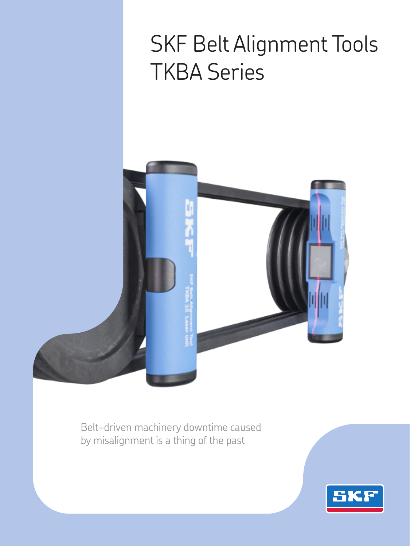# SKF Belt Alignment Tools TKBA Series



Belt–driven machinery downtime caused by misalignment is a thing of the past

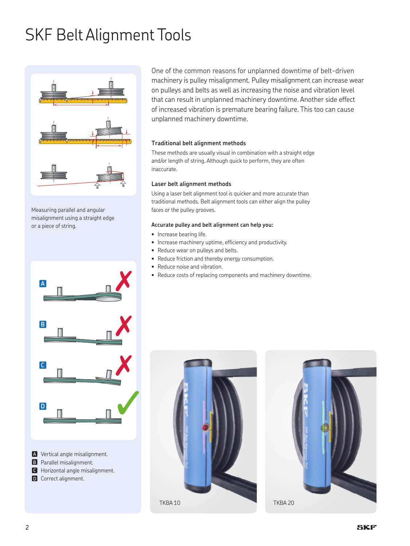## SKF Belt Alignment Tools



Measuring parallel and angular misalignment using a straight edge or a piece of string.



**A** Vertical angle misalignment. **B** Parallel misalignment. **nC** Horizontal angle misalignment. **D** Correct alignment.

One of the common reasons for unplanned downtime of belt-driven machinery is pulley misalignment. Pulley misalignment can increase wear on pulleys and belts as well as increasing the noise and vibration level that can result in unplanned machinery downtime. Another side effect of increased vibration is premature bearing failure. This too can cause unplanned machinery downtime.

#### **Traditional belt alignment methods**

These methods are usually visual in combination with a straight edge and/or length of string. Although quick to perform, they are often inaccurate.

#### **Laser belt alignment methods**

Using a laser belt alignment tool is quicker and more accurate than traditional methods. Belt alignment tools can either align the pulley faces or the pulley grooves.

#### **Accurate pulley and belt alignment can help you:**

- Increase bearing life.
- Increase machinery uptime, efficiency and productivity.
- Reduce wear on pulleys and belts.
- Reduce friction and thereby energy consumption.
- Reduce noise and vibration.
- Reduce costs of replacing components and machinery downtime.



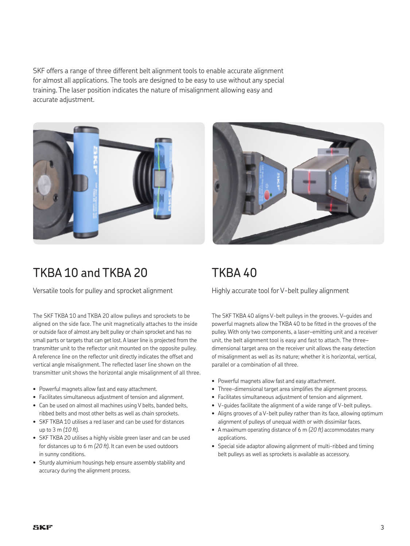SKF offers a range of three different belt alignment tools to enable accurate alignment for almost all applications. The tools are designed to be easy to use without any special training. The laser position indicates the nature of misalignment allowing easy and accurate adjustment.



## TKBA 10 and TKBA 20

Versatile tools for pulley and sprocket alignment

The SKF TKBA 10 and TKBA 20 allow pulleys and sprockets to be aligned on the side face. The unit magnetically attaches to the inside or outside face of almost any belt pulley or chain sprocket and has no small parts or targets that can get lost. A laser line is projected from the transmitter unit to the reflector unit mounted on the opposite pulley. A reference line on the reflector unit directly indicates the offset and vertical angle misalignment. The reflected laser line shown on the transmitter unit shows the horizontal angle misalignment of all three.

- Powerful magnets allow fast and easy attachment.
- Facilitates simultaneous adjustment of tension and alignment.
- Can be used on almost all machines using V belts, banded belts, ribbed belts and most other belts as well as chain sprockets.
- SKF TKBA 10 utilises a red laser and can be used for distances up to 3 m *(10 ft).*
- SKF TKBA 20 utilises a highly visible green laser and can be used for distances up to 6 m *(20 ft)*. It can even be used outdoors in sunny conditions.
- Sturdy aluminium housings help ensure assembly stability and accuracy during the alignment process.



## TKBA 40

Highly accurate tool for V-belt pulley alignment

The SKF TKBA 40 aligns V-belt pulleys in the grooves. V–guides and powerful magnets allow the TKBA 40 to be fitted in the grooves of the pulley. With only two components, a laser–emitting unit and a receiver unit, the belt alignment tool is easy and fast to attach. The three– dimensional target area on the receiver unit allows the easy detection of misalignment as well as its nature; whether it is horizontal, vertical, parallel or a combination of all three.

- Powerful magnets allow fast and easy attachment.
- Three-dimensional target area simplifies the alignment process.
- Facilitates simultaneous adjustment of tension and alignment.
- V-guides facilitate the alignment of a wide range of V-belt pulleys.
- Aligns grooves of a V-belt pulley rather than its face, allowing optimum alignment of pulleys of unequal width or with dissimilar faces.
- A maximum operating distance of 6 m *(20 ft)* accommodates many applications.
- Special side adaptor allowing alignment of multi-ribbed and timing belt pulleys as well as sprockets is available as accessory.